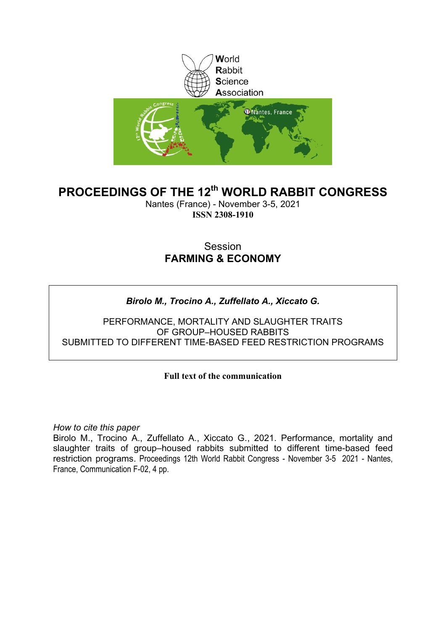

# **PROCEEDINGS OF THE 12th WORLD RABBIT CONGRESS**

Nantes (France) - November 3-5, 2021 **ISSN 2308-1910**

## Session **FARMING & ECONOMY**

## *Birolo M., Trocino A., Zuffellato A., Xiccato G.*

PERFORMANCE, MORTALITY AND SLAUGHTER TRAITS OF GROUP–HOUSED RABBITS SUBMITTED TO DIFFERENT TIME-BASED FEED RESTRICTION PROGRAMS

## **Full text of the communication**

*How to cite this paper*

Birolo M., Trocino A., Zuffellato A., Xiccato G., 2021. Performance, mortality and slaughter traits of group–housed rabbits submitted to different time-based feed restriction programs. Proceedings 12th World Rabbit Congress - November 3-5 2021 - Nantes, France, Communication F-02, 4 pp.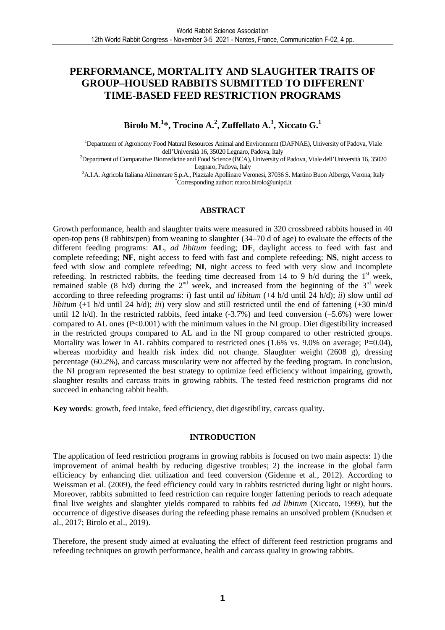## **PERFORMANCE, MORTALITY AND SLAUGHTER TRAITS OF GROUP–HOUSED RABBITS SUBMITTED TO DIFFERENT TIME-BASED FEED RESTRICTION PROGRAMS**

## **Birolo M.<sup>1</sup> \*, Trocino A.<sup>2</sup> , Zuffellato A.<sup>3</sup> , Xiccato G.<sup>1</sup>**

<sup>1</sup>Department of Agronomy Food Natural Resources Animal and Environment (DAFNAE), University of Padova, Viale dell'Università 16, 35020 Legnaro, Padova, Italy

<sup>2</sup>Department of Comparative Biomedicine and Food Science (BCA), University of Padova, Viale dell'Università 16, 35020 Legnaro, Padova, Italy

<sup>3</sup>A.I.A. Agricola Italiana Alimentare S.p.A., Piazzale Apollinare Veronesi, 37036 S. Martino Buon Albergo, Verona, Italy \*Corresponding author: marco.birolo@unipd.it

### **ABSTRACT**

Growth performance, health and slaughter traits were measured in 320 crossbreed rabbits housed in 40 open-top pens (8 rabbits/pen) from weaning to slaughter (34–70 d of age) to evaluate the effects of the different feeding programs: **AL**, *ad libitum* feeding; **DF**, daylight access to feed with fast and complete refeeding; **NF**, night access to feed with fast and complete refeeding; **NS**, night access to feed with slow and complete refeeding; **NI**, night access to feed with very slow and incomplete refeeding. In restricted rabbits, the feeding time decreased from 14 to 9 h/d during the  $1<sup>st</sup>$  week, remained stable (8 h/d) during the  $2<sup>nd</sup>$  week, and increased from the beginning of the  $3<sup>rd</sup>$  week according to three refeeding programs: *i*) fast until *ad libitum* (+4 h/d until 24 h/d); *ii*) slow until *ad libitum* (+1 h/d until 24 h/d); *iii*) very slow and still restricted until the end of fattening (+30 min/d until 12 h/d). In the restricted rabbits, feed intake (-3.7%) and feed conversion (-5.6%) were lower compared to AL ones  $(P< 0.001)$  with the minimum values in the NI group. Diet digestibility increased in the restricted groups compared to AL and in the NI group compared to other restricted groups. Mortality was lower in AL rabbits compared to restricted ones  $(1.6\% \text{ vs. } 9.0\% \text{ on average}; P=0.04)$ , whereas morbidity and health risk index did not change. Slaughter weight (2608 g), dressing percentage (60.2%), and carcass muscularity were not affected by the feeding program. In conclusion, the NI program represented the best strategy to optimize feed efficiency without impairing, growth, slaughter results and carcass traits in growing rabbits. The tested feed restriction programs did not succeed in enhancing rabbit health.

**Key words**: growth, feed intake, feed efficiency, diet digestibility, carcass quality.

## **INTRODUCTION**

The application of feed restriction programs in growing rabbits is focused on two main aspects: 1) the improvement of animal health by reducing digestive troubles; 2) the increase in the global farm efficiency by enhancing diet utilization and feed conversion (Gidenne et al., 2012). According to Weissman et al. (2009), the feed efficiency could vary in rabbits restricted during light or night hours. Moreover, rabbits submitted to feed restriction can require longer fattening periods to reach adequate final live weights and slaughter yields compared to rabbits fed *ad libitum* (Xiccato, 1999), but the occurrence of digestive diseases during the refeeding phase remains an unsolved problem (Knudsen et al., 2017; Birolo et al., 2019).

Therefore, the present study aimed at evaluating the effect of different feed restriction programs and refeeding techniques on growth performance, health and carcass quality in growing rabbits.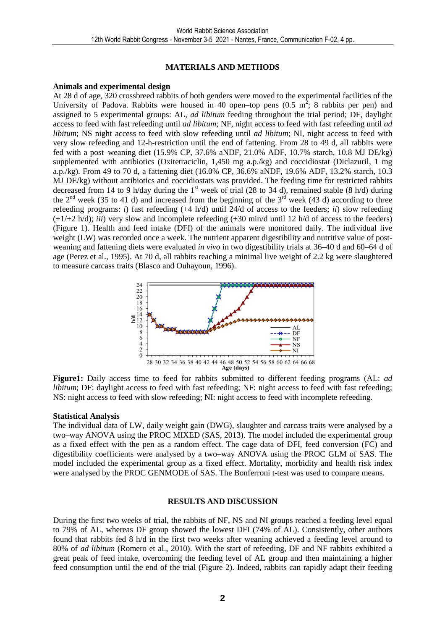## **MATERIALS AND METHODS**

## **Animals and experimental design**

At 28 d of age, 320 crossbreed rabbits of both genders were moved to the experimental facilities of the University of Padova. Rabbits were housed in 40 open–top pens  $(0.5 \text{ m}^2; 8 \text{ rabbits per pen})$  and assigned to 5 experimental groups: AL, *ad libitum* feeding throughout the trial period; DF, daylight access to feed with fast refeeding until *ad libitum*; NF, night access to feed with fast refeeding until *ad libitum*; NS night access to feed with slow refeeding until *ad libitum*; NI, night access to feed with very slow refeeding and 12-h-restriction until the end of fattening. From 28 to 49 d, all rabbits were fed with a post–weaning diet (15.9% CP, 37.6% aNDF, 21.0% ADF, 10.7% starch, 10.8 MJ DE/kg) supplemented with antibiotics (Oxitetraciclin, 1,450 mg a.p./kg) and coccidiostat (Diclazuril, 1 mg a.p./kg). From 49 to 70 d, a fattening diet (16.0% CP, 36.6% aNDF, 19.6% ADF, 13.2% starch, 10.3 MJ DE/kg) without antibiotics and coccidiostats was provided. The feeding time for restricted rabbits decreased from 14 to 9 h/day during the  $1<sup>st</sup>$  week of trial (28 to 34 d), remained stable (8 h/d) during the  $2^{nd}$  week (35 to 41 d) and increased from the beginning of the  $3^{rd}$  week (43 d) according to three refeeding programs: *i*) fast refeeding (+4 h/d) until 24/d of access to the feeders; *ii*) slow refeeding  $(+1/2 \text{ h/d})$ ; *iii*) very slow and incomplete refeeding  $(+30 \text{ min/d}$  until 12 h/d of access to the feeders) (Figure 1). Health and feed intake (DFI) of the animals were monitored daily. The individual live weight (LW) was recorded once a week. The nutrient apparent digestibility and nutritive value of postweaning and fattening diets were evaluated *in vivo* in two digestibility trials at 36–40 d and 60–64 d of age (Perez et al., 1995). At 70 d, all rabbits reaching a minimal live weight of 2.2 kg were slaughtered to measure carcass traits (Blasco and Ouhayoun, 1996).



**Figure1:** Daily access time to feed for rabbits submitted to different feeding programs (AL: *ad libitum*; DF: daylight access to feed with fast refeeding; NF: night access to feed with fast refeeding; NS: night access to feed with slow refeeding; NI: night access to feed with incomplete refeeding.

## **Statistical Analysis**

The individual data of LW, daily weight gain (DWG), slaughter and carcass traits were analysed by a two–way ANOVA using the PROC MIXED (SAS, 2013). The model included the experimental group as a fixed effect with the pen as a random effect. The cage data of DFI, feed conversion (FC) and digestibility coefficients were analysed by a two–way ANOVA using the PROC GLM of SAS. The model included the experimental group as a fixed effect. Mortality, morbidity and health risk index were analysed by the PROC GENMODE of SAS. The Bonferroni t-test was used to compare means.

## **RESULTS AND DISCUSSION**

During the first two weeks of trial, the rabbits of NF, NS and NI groups reached a feeding level equal to 79% of AL, whereas DF group showed the lowest DFI (74% of AL). Consistently, other authors found that rabbits fed 8 h/d in the first two weeks after weaning achieved a feeding level around to 80% of *ad libitum* (Romero et al., 2010). With the start of refeeding, DF and NF rabbits exhibited a great peak of feed intake, overcoming the feeding level of AL group and then maintaining a higher feed consumption until the end of the trial (Figure 2). Indeed, rabbits can rapidly adapt their feeding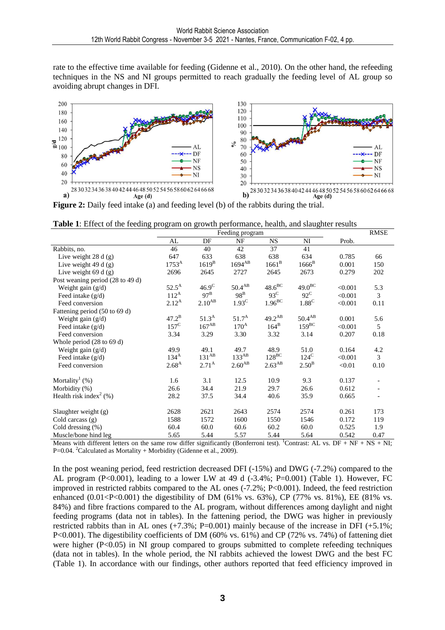rate to the effective time available for feeding (Gidenne et al., 2010). On the other hand, the refeeding techniques in the NS and NI groups permitted to reach gradually the feeding level of AL group so avoiding abrupt changes in DFI.



**Figure 2:** Daily feed intake (a) and feeding level (b) of the rabbits during the trial.

|  |  |  | Table 1: Effect of the feeding program on growth performance, health, and slaughter results |  |
|--|--|--|---------------------------------------------------------------------------------------------|--|
|  |  |  |                                                                                             |  |

|                                              |                |                   | <b>RMSE</b>           |                    |                |         |      |
|----------------------------------------------|----------------|-------------------|-----------------------|--------------------|----------------|---------|------|
|                                              | AL             | DF                | Feeding program<br>NF | <b>NS</b>          | N <sub>I</sub> | Prob.   |      |
| Rabbits, no.                                 | 46             | 40                | 42                    | 37                 | 41             |         |      |
| Live weight $28 d(g)$                        | 647            | 633               | 638                   | 638                | 634            | 0.785   | 66   |
| Live weight $49 d(g)$                        | $1753^{A}$     | $1619^B$          | $1694^{AB}$           | $1661^B$           | $1666^B$       | 0.001   | 150  |
| Live weight $69 d(g)$                        | 2696           | 2645              | 2727                  | 2645               | 2673           | 0.279   | 202  |
| Post weaning period (28 to 49 d)             |                |                   |                       |                    |                |         |      |
| Weight gain $(g/d)$                          | $52.5^{\rm A}$ | 46.9 <sup>C</sup> | $50.4^{AB}$           | $48.6^{\rm BC}$    | $49.0^{BC}$    | < 0.001 | 5.3  |
| Feed intake $(g/d)$                          | $112^A$        | $97^{\rm B}$      | $98^B$                | $93^{\circ}$       | $92^{\circ}$   | < 0.001 | 3    |
| Feed conversion                              | $2.12^{A}$     | $2.10^{AB}$       | $1.93^{\circ}$        | $1.96^{\text{BC}}$ | $1.88^C$       | < 0.001 | 0.11 |
| Fattening period (50 to 69 d)                |                |                   |                       |                    |                |         |      |
| Weight gain (g/d)                            | $47.2^{\rm B}$ | $51.3^A$          | $51.7^{\rm A}$        | $49.2^{AB}$        | $50.4^{AB}$    | 0.001   | 5.6  |
| Feed intake $(g/d)$                          | $157^{\circ}$  | $167^{AB}$        | $170^{\rm A}$         | $164^B$            | $159^{BC}$     | < 0.001 | 5    |
| Feed conversion                              | 3.34           | 3.29              | 3.30                  | 3.32               | 3.14           | 0.207   | 0.18 |
| Whole period $(28 \text{ to } 69 \text{ d})$ |                |                   |                       |                    |                |         |      |
| Weight gain $(g/d)$                          | 49.9           | 49.1              | 49.7                  | 48.9               | 51.0           | 0.164   | 4.2  |
| Feed intake (g/d)                            | $134^A$        | $131^{AB}$        | $133^{AB}$            | $128^{\text{BC}}$  | $124^{\circ}$  | < 0.001 | 3    |
| Feed conversion                              | $2.68^{A}$     | $2.71^{A}$        | $2.60^{AB}$           | $2.63^{AB}$        | $2.50^{\rm B}$ | < 0.01  | 0.10 |
| Mortality <sup>1</sup> (%)                   | 1.6            | 3.1               | 12.5                  | 10.9               | 9.3            | 0.137   |      |
| Morbidity (%)                                | 26.6           | 34.4              | 21.9                  | 29.7               | 26.6           | 0.612   |      |
| Health risk index <sup>2</sup> $(\%)$        | 28.2           | 37.5              | 34.4                  | 40.6               | 35.9           | 0.665   |      |
| Slaughter weight (g)                         | 2628           | 2621              | 2643                  | 2574               | 2574           | 0.261   | 173  |
| Cold carcass $(g)$                           | 1588           | 1572              | 1600                  | 1550               | 1546           | 0.172   | 119  |
| Cold dressing $(\%)$                         | 60.4           | 60.0              | 60.6                  | 60.2               | 60.0           | 0.525   | 1.9  |
| Muscle/bone hind leg                         | 5.65           | 5.44              | 5.57                  | 5.44               | 5.64           | 0.542   | 0.47 |

Means with different letters on the same row differ significantly (Bonferroni test). <sup>1</sup>Contrast: AL vs. DF + NF + NS + NI;  $P=0.04$ . <sup>2</sup>Calculated as Mortality + Morbidity (Gidenne et al., 2009).

In the post weaning period, feed restriction decreased DFI (-15%) and DWG (-7.2%) compared to the AL program (P<0.001), leading to a lower LW at 49 d (-3.4%; P=0.001) (Table 1). However, FC improved in restricted rabbits compared to the AL ones (-7.2%; P<0.001). Indeed, the feed restriction enhanced  $(0.01 < P < 0.001)$  the digestibility of DM (61% vs. 63%), CP (77% vs. 81%), EE (81% vs. 84%) and fibre fractions compared to the AL program, without differences among daylight and night feeding programs (data not in tables). In the fattening period, the DWG was higher in previously restricted rabbits than in AL ones  $(+7.3\%; P=0.001)$  mainly because of the increase in DFI  $(+5.1\%;$ P<0.001). The digestibility coefficients of DM (60% vs. 61%) and CP (72% vs. 74%) of fattening diet were higher  $(P<0.05)$  in NI group compared to groups submitted to complete refeeding techniques (data not in tables). In the whole period, the NI rabbits achieved the lowest DWG and the best FC (Table 1). In accordance with our findings, other authors reported that feed efficiency improved in